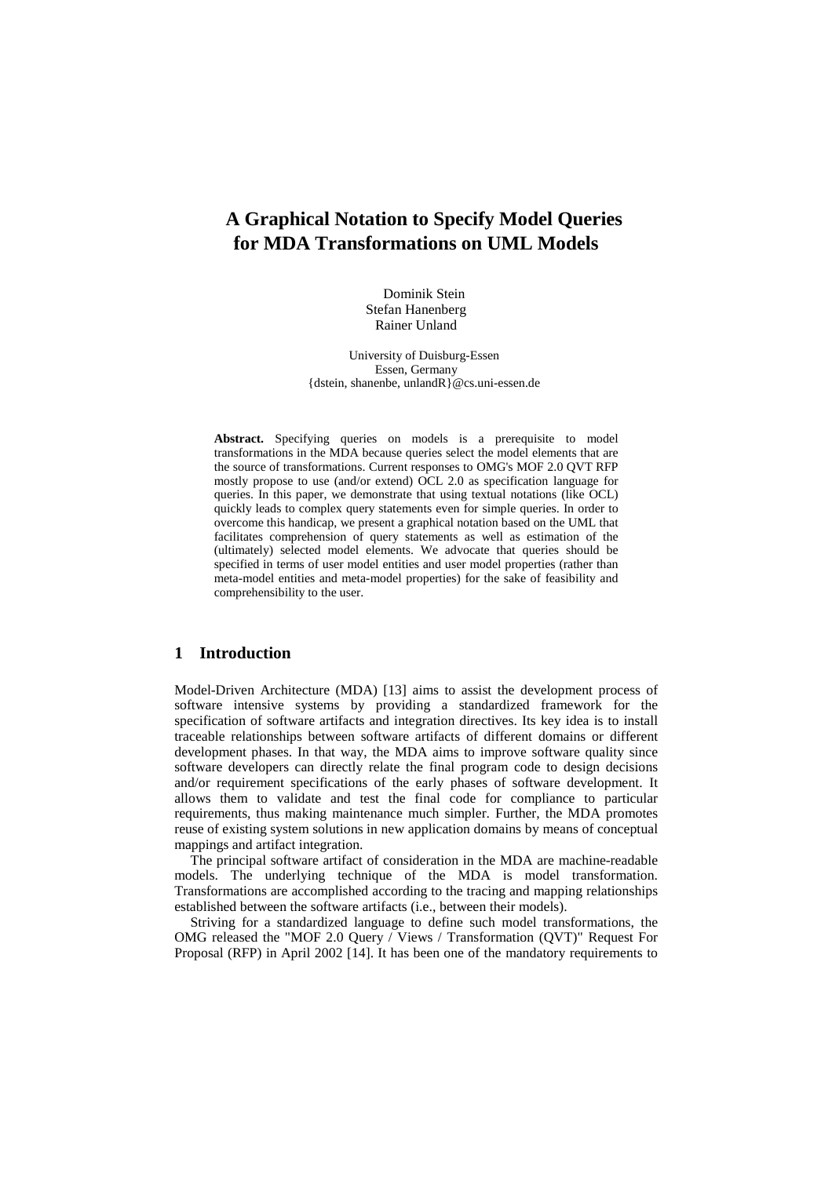# **A Graphical Notation to Specify Model Queries for MDA Transformations on UML Models**

Dominik Stein Stefan Hanenberg Rainer Unland

University of Duisburg-Essen Essen, Germany {dstein, shanenbe, unlandR}@cs.uni-essen.de

**Abstract.** Specifying queries on models is a prerequisite to model transformations in the MDA because queries select the model elements that are the source of transformations. Current responses to OMG's MOF 2.0 QVT RFP mostly propose to use (and/or extend) OCL 2.0 as specification language for queries. In this paper, we demonstrate that using textual notations (like OCL) quickly leads to complex query statements even for simple queries. In order to overcome this handicap, we present a graphical notation based on the UML that facilitates comprehension of query statements as well as estimation of the (ultimately) selected model elements. We advocate that queries should be specified in terms of user model entities and user model properties (rather than meta-model entities and meta-model properties) for the sake of feasibility and comprehensibility to the user.

# **1 Introduction**

Model-Driven Architecture (MDA) [13] aims to assist the development process of software intensive systems by providing a standardized framework for the specification of software artifacts and integration directives. Its key idea is to install traceable relationships between software artifacts of different domains or different development phases. In that way, the MDA aims to improve software quality since software developers can directly relate the final program code to design decisions and/or requirement specifications of the early phases of software development. It allows them to validate and test the final code for compliance to particular requirements, thus making maintenance much simpler. Further, the MDA promotes reuse of existing system solutions in new application domains by means of conceptual mappings and artifact integration.

The principal software artifact of consideration in the MDA are machine-readable models. The underlying technique of the MDA is model transformation. Transformations are accomplished according to the tracing and mapping relationships established between the software artifacts (i.e., between their models).

Striving for a standardized language to define such model transformations, the OMG released the "MOF 2.0 Query / Views / Transformation (QVT)" Request For Proposal (RFP) in April 2002 [14]. It has been one of the mandatory requirements to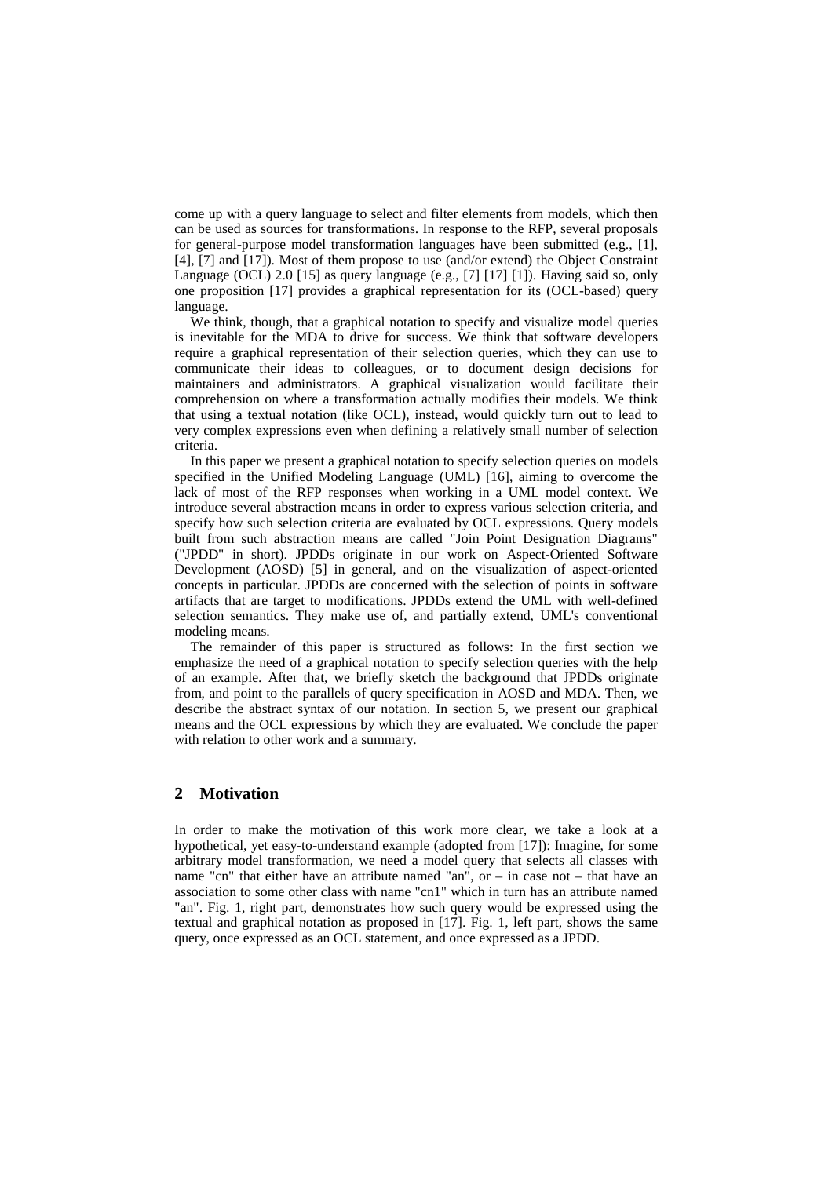come up with a query language to select and filter elements from models, which then can be used as sources for transformations. In response to the RFP, several proposals for general-purpose model transformation languages have been submitted (e.g., [1], [4], [7] and [17]). Most of them propose to use (and/or extend) the Object Constraint Language (OCL) 2.0 [15] as query language (e.g., [7] [17] [1]). Having said so, only one proposition [17] provides a graphical representation for its (OCL-based) query language.

We think, though, that a graphical notation to specify and visualize model queries is inevitable for the MDA to drive for success. We think that software developers require a graphical representation of their selection queries, which they can use to communicate their ideas to colleagues, or to document design decisions for maintainers and administrators. A graphical visualization would facilitate their comprehension on where a transformation actually modifies their models. We think that using a textual notation (like OCL), instead, would quickly turn out to lead to very complex expressions even when defining a relatively small number of selection criteria.

In this paper we present a graphical notation to specify selection queries on models specified in the Unified Modeling Language (UML) [16], aiming to overcome the lack of most of the RFP responses when working in a UML model context. We introduce several abstraction means in order to express various selection criteria, and specify how such selection criteria are evaluated by OCL expressions. Query models built from such abstraction means are called "Join Point Designation Diagrams" ("JPDD" in short). JPDDs originate in our work on Aspect-Oriented Software Development (AOSD) [5] in general, and on the visualization of aspect-oriented concepts in particular. JPDDs are concerned with the selection of points in software artifacts that are target to modifications. JPDDs extend the UML with well-defined selection semantics. They make use of, and partially extend, UML's conventional modeling means.

The remainder of this paper is structured as follows: In the first section we emphasize the need of a graphical notation to specify selection queries with the help of an example. After that, we briefly sketch the background that JPDDs originate from, and point to the parallels of query specification in AOSD and MDA. Then, we describe the abstract syntax of our notation. In section 5, we present our graphical means and the OCL expressions by which they are evaluated. We conclude the paper with relation to other work and a summary.

# **2 Motivation**

In order to make the motivation of this work more clear, we take a look at a hypothetical, yet easy-to-understand example (adopted from [17]): Imagine, for some arbitrary model transformation, we need a model query that selects all classes with name "cn" that either have an attribute named "an", or  $-$  in case not  $-$  that have an association to some other class with name "cn1" which in turn has an attribute named "an". Fig. 1, right part, demonstrates how such query would be expressed using the textual and graphical notation as proposed in [17]. Fig. 1, left part, shows the same query, once expressed as an OCL statement, and once expressed as a JPDD.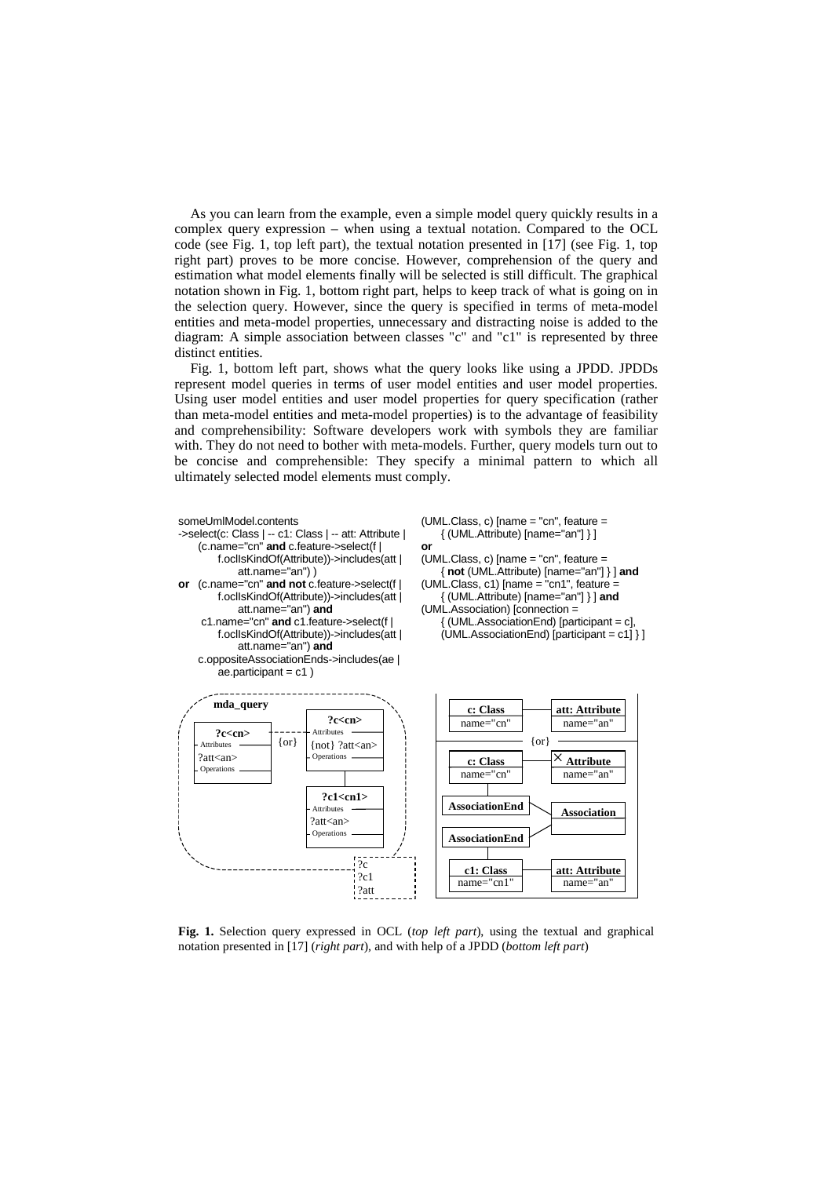As you can learn from the example, even a simple model query quickly results in a complex query expression – when using a textual notation. Compared to the OCL code (see Fig. 1, top left part), the textual notation presented in [17] (see Fig. 1, top right part) proves to be more concise. However, comprehension of the query and estimation what model elements finally will be selected is still difficult. The graphical notation shown in Fig. 1, bottom right part, helps to keep track of what is going on in the selection query. However, since the query is specified in terms of meta-model entities and meta-model properties, unnecessary and distracting noise is added to the diagram: A simple association between classes "c" and "c1" is represented by three distinct entities.

Fig. 1, bottom left part, shows what the query looks like using a JPDD. JPDDs represent model queries in terms of user model entities and user model properties. Using user model entities and user model properties for query specification (rather than meta-model entities and meta-model properties) is to the advantage of feasibility and comprehensibility: Software developers work with symbols they are familiar with. They do not need to bother with meta-models. Further, query models turn out to be concise and comprehensible: They specify a minimal pattern to which all ultimately selected model elements must comply.



**Fig. 1.** Selection query expressed in OCL (*top left part*), using the textual and graphical notation presented in [17] (*right part*), and with help of a JPDD (*bottom left part*)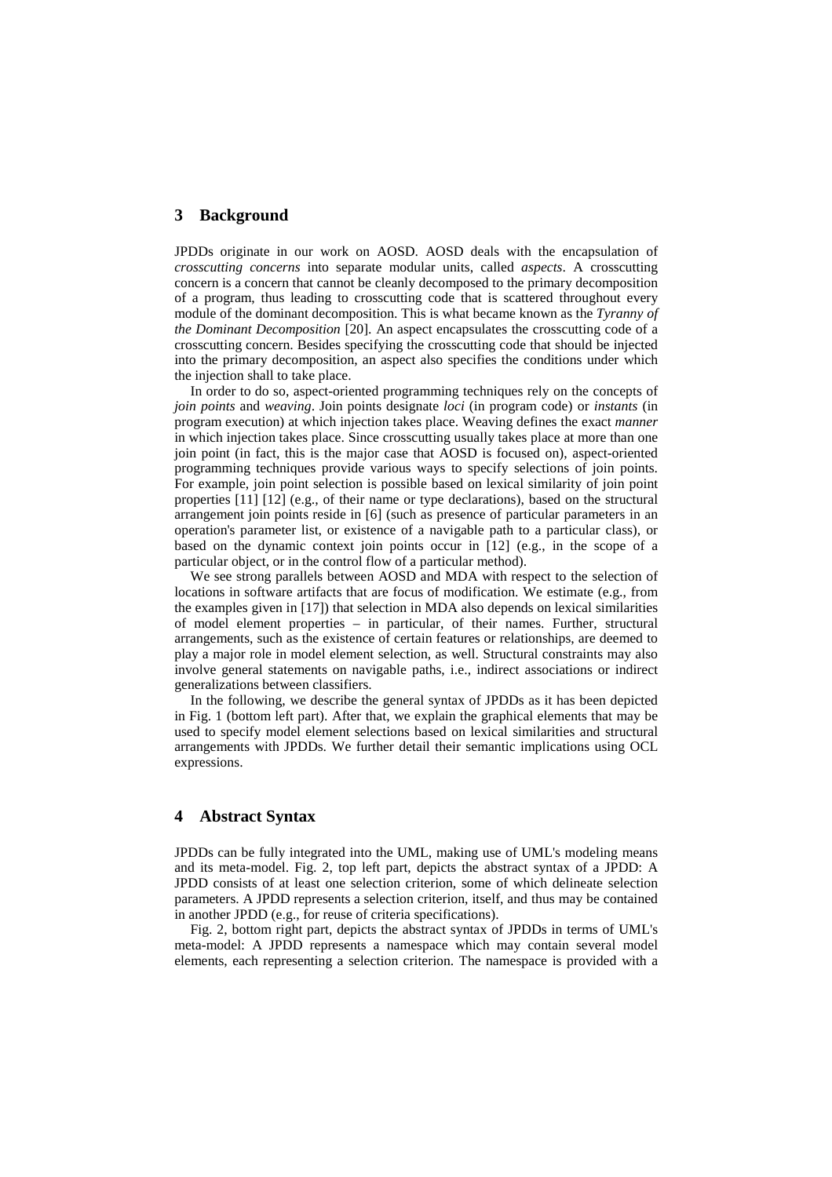### **3 Background**

JPDDs originate in our work on AOSD. AOSD deals with the encapsulation of *crosscutting concerns* into separate modular units, called *aspects*. A crosscutting concern is a concern that cannot be cleanly decomposed to the primary decomposition of a program, thus leading to crosscutting code that is scattered throughout every module of the dominant decomposition. This is what became known as the *Tyranny of the Dominant Decomposition* [20]. An aspect encapsulates the crosscutting code of a crosscutting concern. Besides specifying the crosscutting code that should be injected into the primary decomposition, an aspect also specifies the conditions under which the injection shall to take place.

In order to do so, aspect-oriented programming techniques rely on the concepts of *join points* and *weaving*. Join points designate *loci* (in program code) or *instants* (in program execution) at which injection takes place. Weaving defines the exact *manner* in which injection takes place. Since crosscutting usually takes place at more than one join point (in fact, this is the major case that AOSD is focused on), aspect-oriented programming techniques provide various ways to specify selections of join points. For example, join point selection is possible based on lexical similarity of join point properties [11] [12] (e.g., of their name or type declarations), based on the structural arrangement join points reside in [6] (such as presence of particular parameters in an operation's parameter list, or existence of a navigable path to a particular class), or based on the dynamic context join points occur in [12] (e.g., in the scope of a particular object, or in the control flow of a particular method).

We see strong parallels between AOSD and MDA with respect to the selection of locations in software artifacts that are focus of modification. We estimate (e.g., from the examples given in [17]) that selection in MDA also depends on lexical similarities of model element properties – in particular, of their names. Further, structural arrangements, such as the existence of certain features or relationships, are deemed to play a major role in model element selection, as well. Structural constraints may also involve general statements on navigable paths, i.e., indirect associations or indirect generalizations between classifiers.

In the following, we describe the general syntax of JPDDs as it has been depicted in Fig. 1 (bottom left part). After that, we explain the graphical elements that may be used to specify model element selections based on lexical similarities and structural arrangements with JPDDs. We further detail their semantic implications using OCL expressions.

# **4 Abstract Syntax**

JPDDs can be fully integrated into the UML, making use of UML's modeling means and its meta-model. Fig. 2, top left part, depicts the abstract syntax of a JPDD: A JPDD consists of at least one selection criterion, some of which delineate selection parameters. A JPDD represents a selection criterion, itself, and thus may be contained in another JPDD (e.g., for reuse of criteria specifications).

Fig. 2, bottom right part, depicts the abstract syntax of JPDDs in terms of UML's meta-model: A JPDD represents a namespace which may contain several model elements, each representing a selection criterion. The namespace is provided with a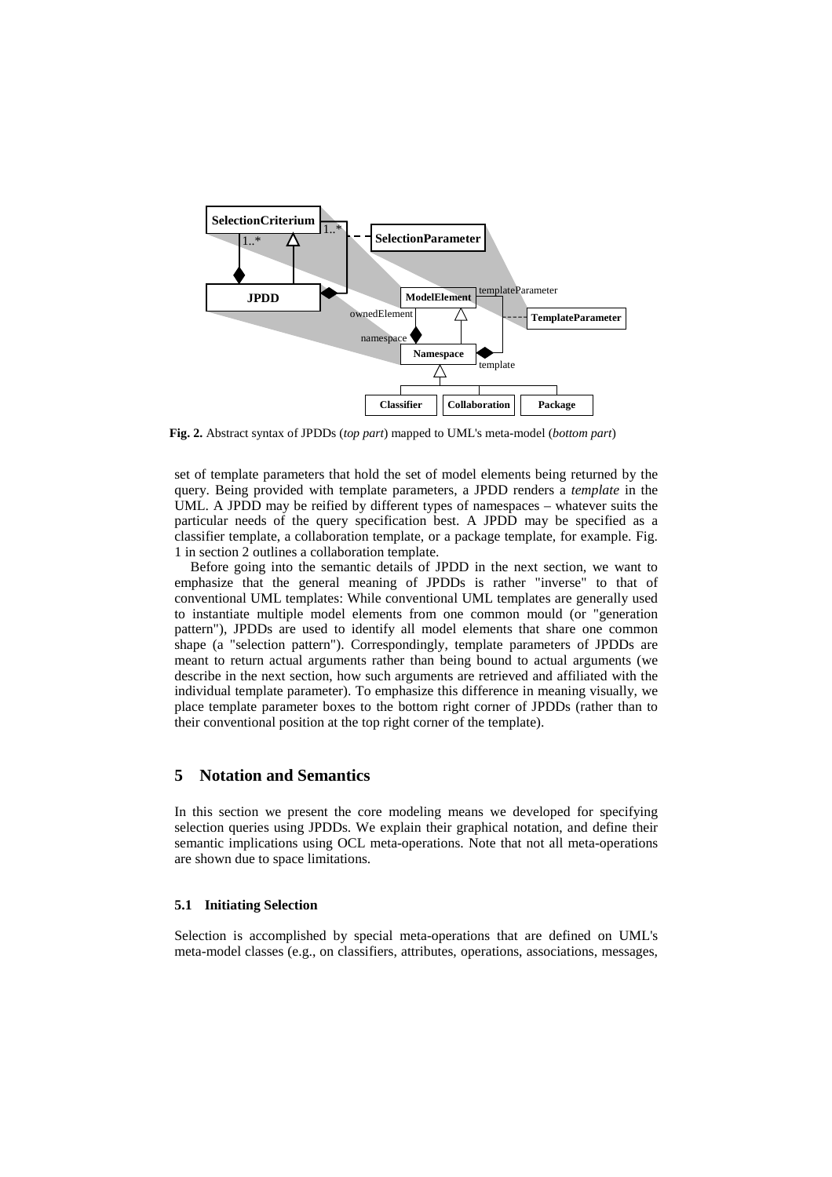

**Fig. 2.** Abstract syntax of JPDDs (*top part*) mapped to UML's meta-model (*bottom part*)

set of template parameters that hold the set of model elements being returned by the query. Being provided with template parameters, a JPDD renders a *template* in the UML. A JPDD may be reified by different types of namespaces – whatever suits the particular needs of the query specification best. A JPDD may be specified as a classifier template, a collaboration template, or a package template, for example. Fig. 1 in section 2 outlines a collaboration template.

Before going into the semantic details of JPDD in the next section, we want to emphasize that the general meaning of JPDDs is rather "inverse" to that of conventional UML templates: While conventional UML templates are generally used to instantiate multiple model elements from one common mould (or "generation pattern"), JPDDs are used to identify all model elements that share one common shape (a "selection pattern"). Correspondingly, template parameters of JPDDs are meant to return actual arguments rather than being bound to actual arguments (we describe in the next section, how such arguments are retrieved and affiliated with the individual template parameter). To emphasize this difference in meaning visually, we place template parameter boxes to the bottom right corner of JPDDs (rather than to their conventional position at the top right corner of the template).

# **5 Notation and Semantics**

In this section we present the core modeling means we developed for specifying selection queries using JPDDs. We explain their graphical notation, and define their semantic implications using OCL meta-operations. Note that not all meta-operations are shown due to space limitations.

#### **5.1 Initiating Selection**

Selection is accomplished by special meta-operations that are defined on UML's meta-model classes (e.g., on classifiers, attributes, operations, associations, messages,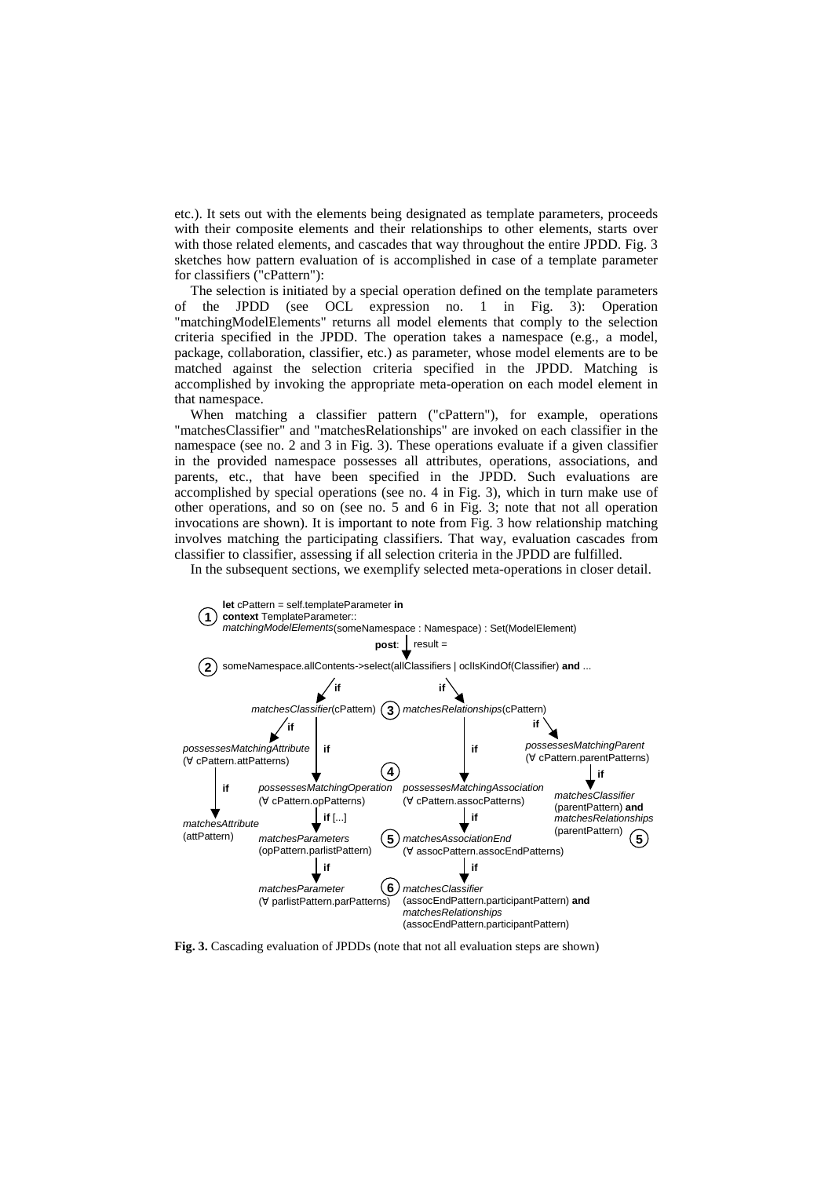etc.). It sets out with the elements being designated as template parameters, proceeds with their composite elements and their relationships to other elements, starts over with those related elements, and cascades that way throughout the entire JPDD. Fig. 3 sketches how pattern evaluation of is accomplished in case of a template parameter for classifiers ("cPattern"):

The selection is initiated by a special operation defined on the template parameters of the JPDD (see OCL expression no. 1 in Fig. 3): Operation "matchingModelElements" returns all model elements that comply to the selection criteria specified in the JPDD. The operation takes a namespace (e.g., a model, package, collaboration, classifier, etc.) as parameter, whose model elements are to be matched against the selection criteria specified in the JPDD. Matching is accomplished by invoking the appropriate meta-operation on each model element in that namespace.

When matching a classifier pattern ("cPattern"), for example, operations "matchesClassifier" and "matchesRelationships" are invoked on each classifier in the namespace (see no. 2 and 3 in Fig. 3). These operations evaluate if a given classifier in the provided namespace possesses all attributes, operations, associations, and parents, etc., that have been specified in the JPDD. Such evaluations are accomplished by special operations (see no. 4 in Fig. 3), which in turn make use of other operations, and so on (see no. 5 and 6 in Fig. 3; note that not all operation invocations are shown). It is important to note from Fig. 3 how relationship matching involves matching the participating classifiers. That way, evaluation cascades from classifier to classifier, assessing if all selection criteria in the JPDD are fulfilled.

In the subsequent sections, we exemplify selected meta-operations in closer detail.



**Fig. 3.** Cascading evaluation of JPDDs (note that not all evaluation steps are shown)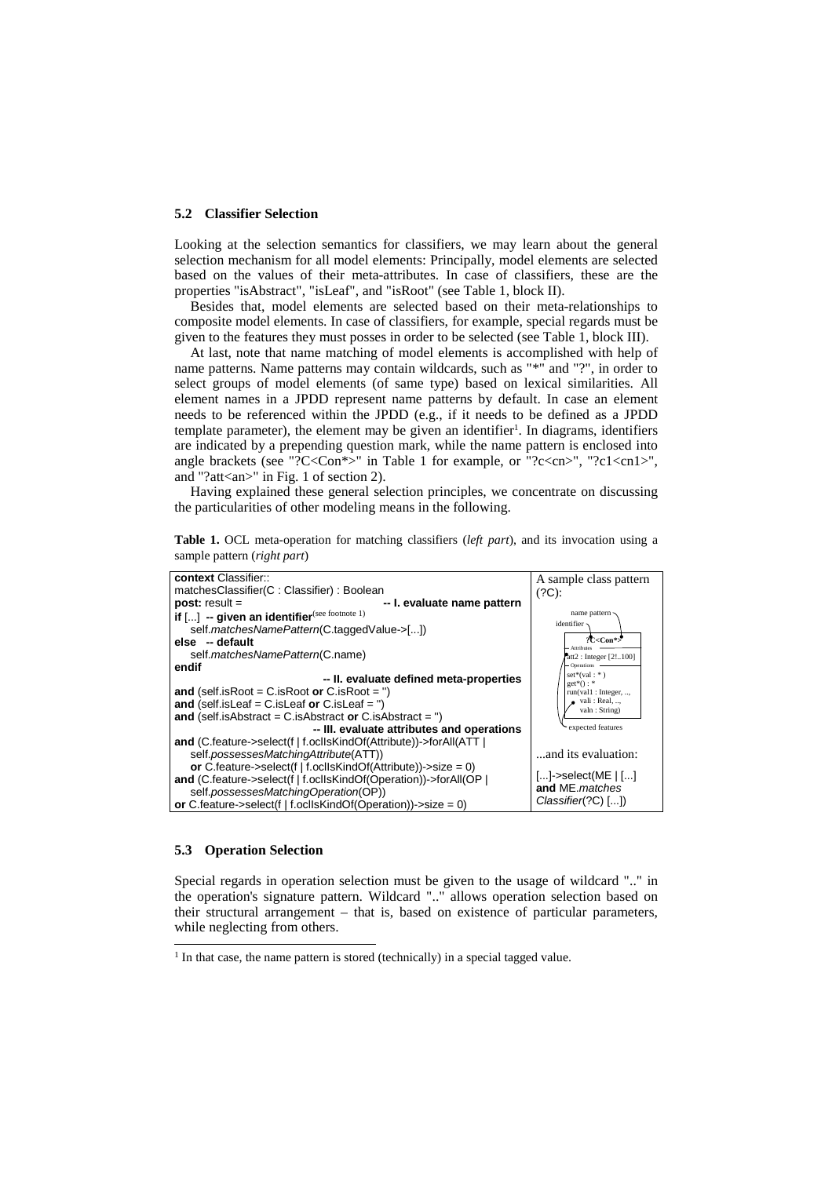#### **5.2 Classifier Selection**

Looking at the selection semantics for classifiers, we may learn about the general selection mechanism for all model elements: Principally, model elements are selected based on the values of their meta-attributes. In case of classifiers, these are the properties "isAbstract", "isLeaf", and "isRoot" (see Table 1, block II).

Besides that, model elements are selected based on their meta-relationships to composite model elements. In case of classifiers, for example, special regards must be given to the features they must posses in order to be selected (see Table 1, block III).

At last, note that name matching of model elements is accomplished with help of name patterns. Name patterns may contain wildcards, such as "\*" and "?", in order to select groups of model elements (of same type) based on lexical similarities. All element names in a JPDD represent name patterns by default. In case an element needs to be referenced within the JPDD (e.g., if it needs to be defined as a JPDD template parameter), the element may be given an identifier<sup>1</sup>. In diagrams, identifiers are indicated by a prepending question mark, while the name pattern is enclosed into angle brackets (see "?C<Con\*>" in Table 1 for example, or "?c<cn>", "?c1<cn1>", and "?att<an>" in Fig. 1 of section 2).

Having explained these general selection principles, we concentrate on discussing the particularities of other modeling means in the following.

**Table 1.** OCL meta-operation for matching classifiers (*left part*), and its invocation using a sample pattern (*right part*)



#### **5.3 Operation Selection**

l

Special regards in operation selection must be given to the usage of wildcard ".." in the operation's signature pattern. Wildcard ".." allows operation selection based on their structural arrangement – that is, based on existence of particular parameters, while neglecting from others.

<sup>&</sup>lt;sup>1</sup> In that case, the name pattern is stored (technically) in a special tagged value.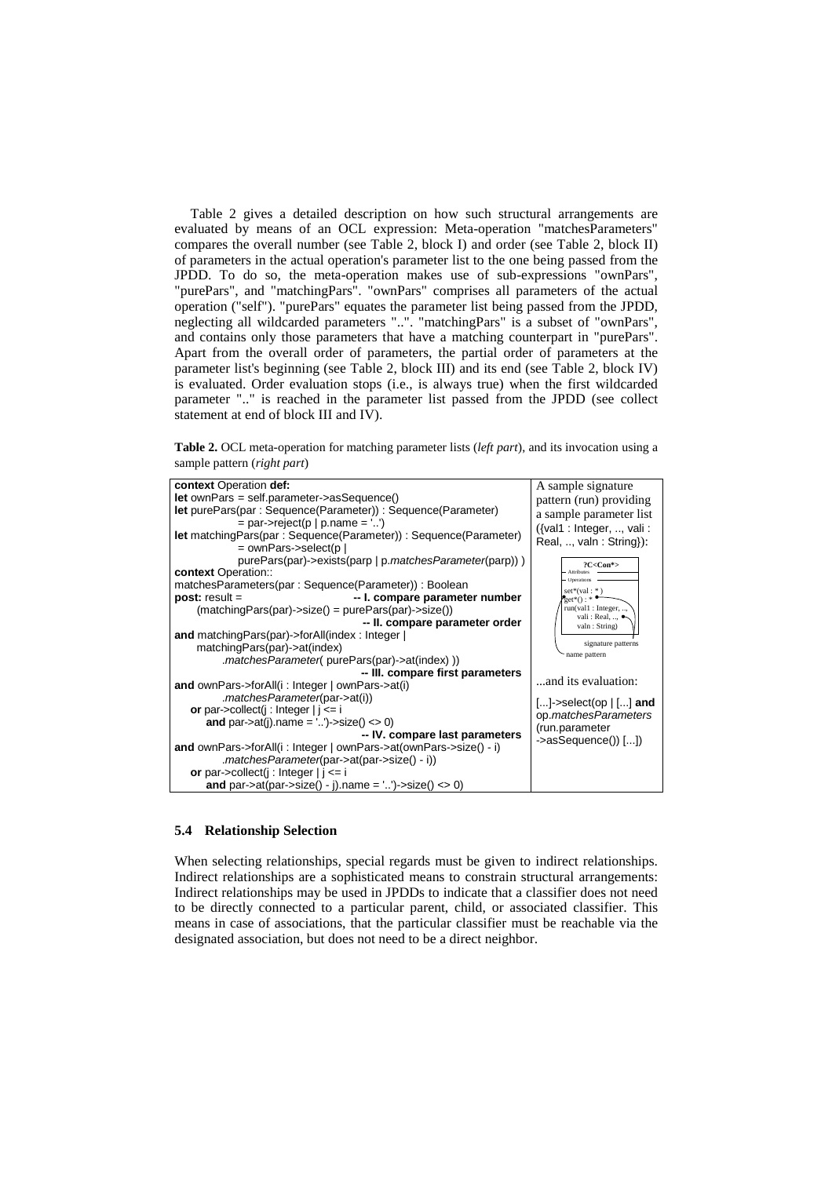Table 2 gives a detailed description on how such structural arrangements are evaluated by means of an OCL expression: Meta-operation "matchesParameters" compares the overall number (see Table 2, block I) and order (see Table 2, block II) of parameters in the actual operation's parameter list to the one being passed from the JPDD. To do so, the meta-operation makes use of sub-expressions "ownPars", "purePars", and "matchingPars". "ownPars" comprises all parameters of the actual operation ("self"). "purePars" equates the parameter list being passed from the JPDD, neglecting all wildcarded parameters "..". "matchingPars" is a subset of "ownPars", and contains only those parameters that have a matching counterpart in "purePars". Apart from the overall order of parameters, the partial order of parameters at the parameter list's beginning (see Table 2, block III) and its end (see Table 2, block IV) is evaluated. Order evaluation stops (i.e., is always true) when the first wildcarded parameter ".." is reached in the parameter list passed from the JPDD (see collect statement at end of block III and IV).

**Table 2.** OCL meta-operation for matching parameter lists (*left part*), and its invocation using a sample pattern (*right part*)

#### **5.4 Relationship Selection**

When selecting relationships, special regards must be given to indirect relationships. Indirect relationships are a sophisticated means to constrain structural arrangements: Indirect relationships may be used in JPDDs to indicate that a classifier does not need to be directly connected to a particular parent, child, or associated classifier. This means in case of associations, that the particular classifier must be reachable via the designated association, but does not need to be a direct neighbor.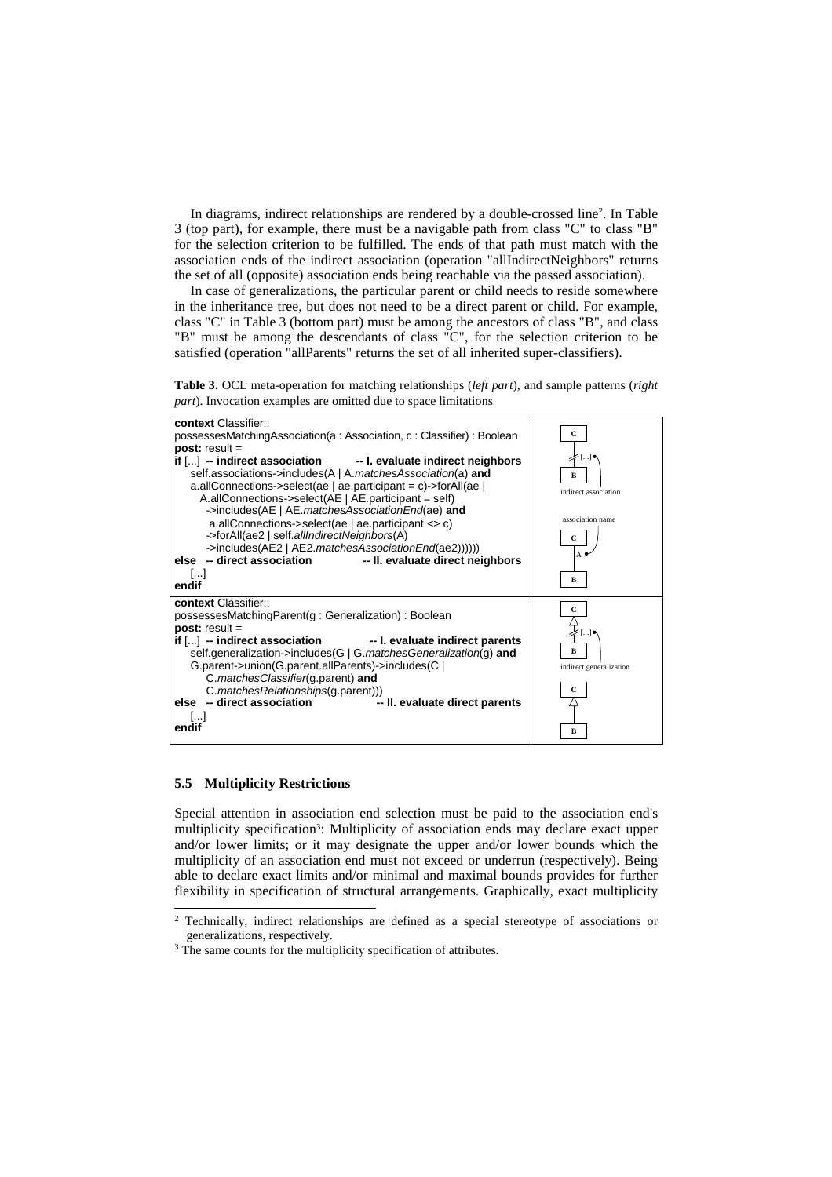In diagrams, indirect relationships are rendered by a double-crossed line<sup>2</sup> . In Table 3 (top part), for example, there must be a navigable path from class "C" to class "B" for the selection criterion to be fulfilled. The ends of that path must match with the association ends of the indirect association (operation "allIndirectNeighbors" returns the set of all (opposite) association ends being reachable via the passed association).

In case of generalizations, the particular parent or child needs to reside somewhere in the inheritance tree, but does not need to be a direct parent or child. For example, class "C" in Table 3 (bottom part) must be among the ancestors of class "B", and class "B" must be among the descendants of class "C", for the selection criterion to be satisfied (operation "allParents" returns the set of all inherited super-classifiers).





#### **5.5 Multiplicity Restrictions**

Special attention in association end selection must be paid to the association end's multiplicity specification<sup>3</sup>: Multiplicity of association ends may declare exact upper and/or lower limits; or it may designate the upper and/or lower bounds which the multiplicity of an association end must not exceed or underrun (respectively). Being able to declare exact limits and/or minimal and maximal bounds provides for further flexibility in specification of structural arrangements. Graphically, exact multiplicity l

<sup>&</sup>lt;sup>2</sup> Technically, indirect relationships are defined as a special stereotype of associations or generalizations, respectively.

<sup>&</sup>lt;sup>3</sup> The same counts for the multiplicity specification of attributes.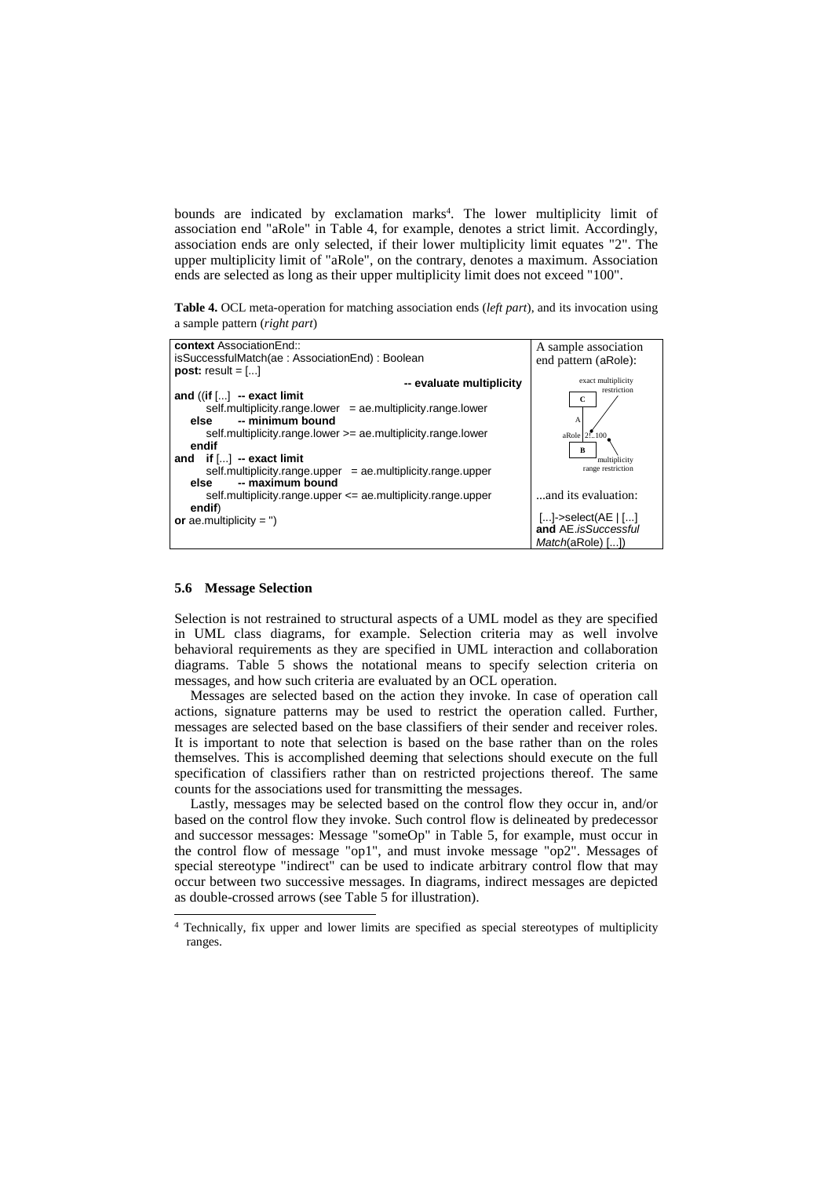bounds are indicated by exclamation marks<sup>4</sup>. The lower multiplicity limit of association end "aRole" in Table 4, for example, denotes a strict limit. Accordingly, association ends are only selected, if their lower multiplicity limit equates "2". The upper multiplicity limit of "aRole", on the contrary, denotes a maximum. Association ends are selected as long as their upper multiplicity limit does not exceed "100".

**Table 4.** OCL meta-operation for matching association ends (*left part*), and its invocation using a sample pattern (*right part*)



#### **5.6 Message Selection**

-

Selection is not restrained to structural aspects of a UML model as they are specified in UML class diagrams, for example. Selection criteria may as well involve behavioral requirements as they are specified in UML interaction and collaboration diagrams. Table 5 shows the notational means to specify selection criteria on messages, and how such criteria are evaluated by an OCL operation.

Messages are selected based on the action they invoke. In case of operation call actions, signature patterns may be used to restrict the operation called. Further, messages are selected based on the base classifiers of their sender and receiver roles. It is important to note that selection is based on the base rather than on the roles themselves. This is accomplished deeming that selections should execute on the full specification of classifiers rather than on restricted projections thereof. The same counts for the associations used for transmitting the messages.

Lastly, messages may be selected based on the control flow they occur in, and/or based on the control flow they invoke. Such control flow is delineated by predecessor and successor messages: Message "someOp" in Table 5, for example, must occur in the control flow of message "op1", and must invoke message "op2". Messages of special stereotype "indirect" can be used to indicate arbitrary control flow that may occur between two successive messages. In diagrams, indirect messages are depicted as double-crossed arrows (see Table 5 for illustration).

<sup>&</sup>lt;sup>4</sup> Technically, fix upper and lower limits are specified as special stereotypes of multiplicity ranges.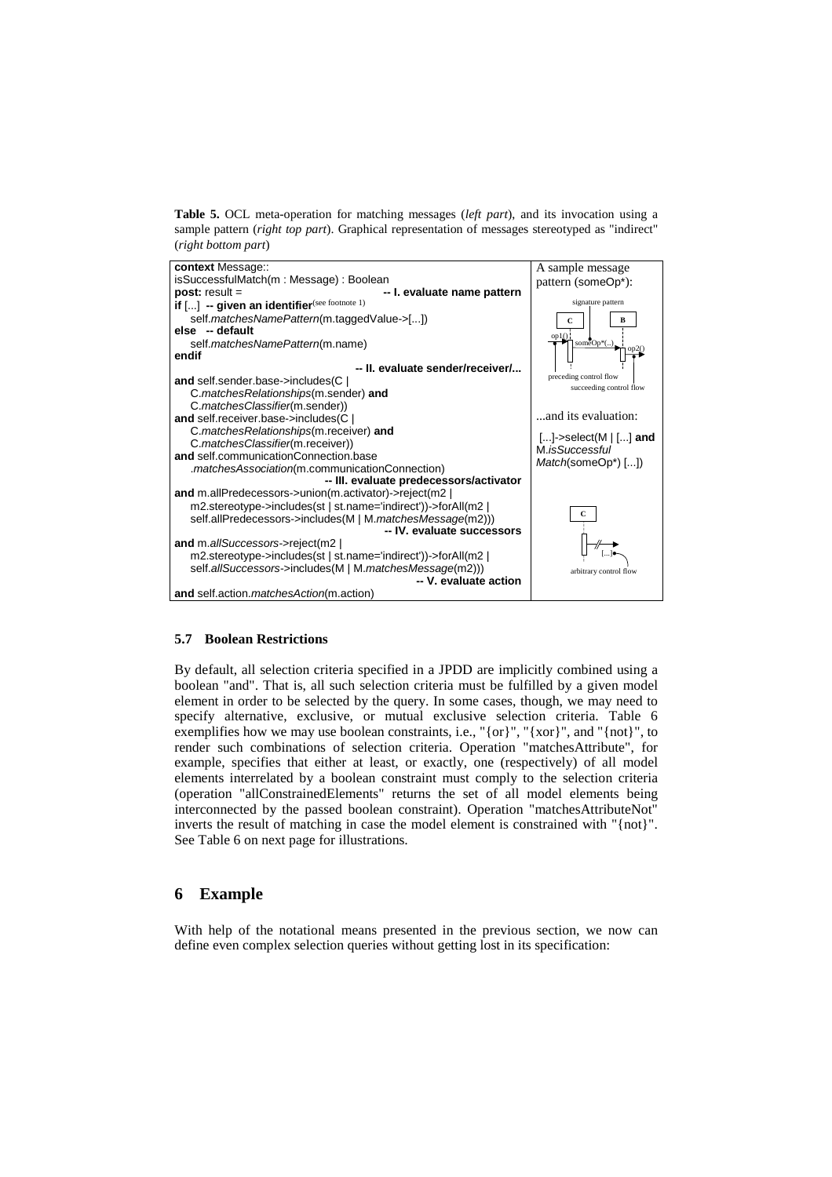**Table 5.** OCL meta-operation for matching messages (*left part*), and its invocation using a sample pattern (*right top part*). Graphical representation of messages stereotyped as "indirect" (*right bottom part*)



### **5.7 Boolean Restrictions**

By default, all selection criteria specified in a JPDD are implicitly combined using a boolean "and". That is, all such selection criteria must be fulfilled by a given model element in order to be selected by the query. In some cases, though, we may need to specify alternative, exclusive, or mutual exclusive selection criteria. Table 6 exemplifies how we may use boolean constraints, i.e., "{or}", "{xor}", and "{not}", to render such combinations of selection criteria. Operation "matchesAttribute", for example, specifies that either at least, or exactly, one (respectively) of all model elements interrelated by a boolean constraint must comply to the selection criteria (operation "allConstrainedElements" returns the set of all model elements being interconnected by the passed boolean constraint). Operation "matchesAttributeNot" inverts the result of matching in case the model element is constrained with "{not}". See Table 6 on next page for illustrations.

### **6 Example**

With help of the notational means presented in the previous section, we now can define even complex selection queries without getting lost in its specification: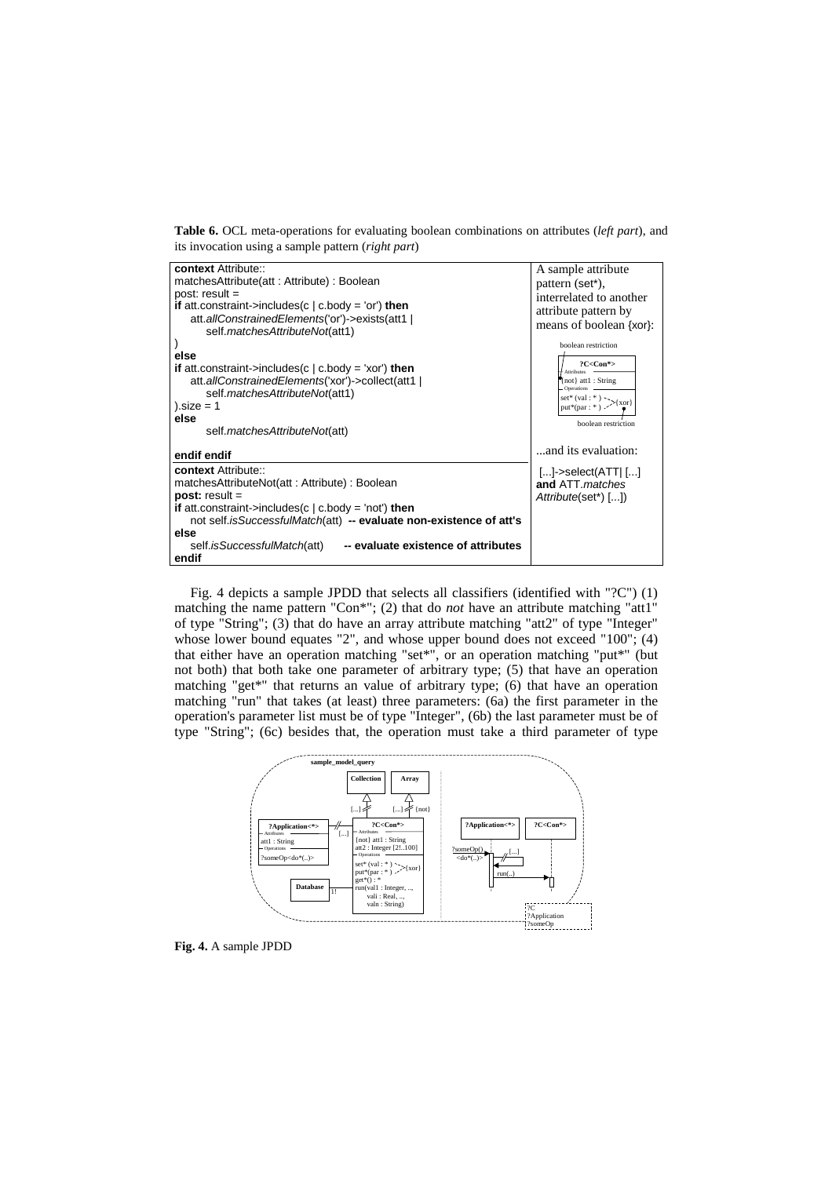**Table 6.** OCL meta-operations for evaluating boolean combinations on attributes (*left part*), and its invocation using a sample pattern (*right part*)

| context Attribute::<br>matchesAttribute(att: Attribute): Boolean                                                                                                                                                                                                                                                                   | A sample attribute<br>pattern (set*),                                                                                                                                 |
|------------------------------------------------------------------------------------------------------------------------------------------------------------------------------------------------------------------------------------------------------------------------------------------------------------------------------------|-----------------------------------------------------------------------------------------------------------------------------------------------------------------------|
| $post: result =$<br><b>if</b> att.constraint->includes(c   c.body = 'or') <b>then</b><br>att.allConstrainedElements('or')->exists(att1  <br>self.matchesAttributeNot(att1)                                                                                                                                                         | interrelated to another<br>attribute pattern by<br>means of boolean {xor}:                                                                                            |
| else<br><b>if</b> att.constraint->includes(c $\vert$ c.body = 'xor') <b>then</b><br>att.allConstrainedElements('xor')->collect(att1  <br>self.matchesAttributeNot(att1)<br>).size = $1$<br>else<br>self. <i>matchesAttributeNot(att)</i>                                                                                           | boolean restriction<br>$?C <$ Con*><br><b>Attributes</b><br>not} att1 : String<br><b>Operations</b><br>set* (val : *)<br>put*(par : *) > {xor}<br>boolean restriction |
| endif endif                                                                                                                                                                                                                                                                                                                        | and its evaluation:                                                                                                                                                   |
| context Attribute::<br>matchesAttributeNot(att: Attribute): Boolean<br>$post: result =$<br><b>if</b> att.constraint->includes(c $\vert$ c.body = 'not') then<br>not self.isSuccessfulMatch(att) -- evaluate non-existence of att's<br>else<br>-- evaluate existence of attributes<br>self. <i>isSuccessfulMatch</i> (att)<br>endif | $[]$ ->select(ATT $ $ $[]$<br>and ATT <i>matches</i><br>Attribute(set*) [])                                                                                           |

Fig. 4 depicts a sample JPDD that selects all classifiers (identified with "?C") (1) matching the name pattern "Con\*"; (2) that do *not* have an attribute matching "att1" of type "String"; (3) that do have an array attribute matching "att2" of type "Integer" whose lower bound equates "2", and whose upper bound does not exceed "100"; (4) that either have an operation matching "set\*", or an operation matching "put\*" (but not both) that both take one parameter of arbitrary type; (5) that have an operation matching "get\*" that returns an value of arbitrary type; (6) that have an operation matching "run" that takes (at least) three parameters: (6a) the first parameter in the operation's parameter list must be of type "Integer", (6b) the last parameter must be of type "String"; (6c) besides that, the operation must take a third parameter of type



**Fig. 4.** A sample JPDD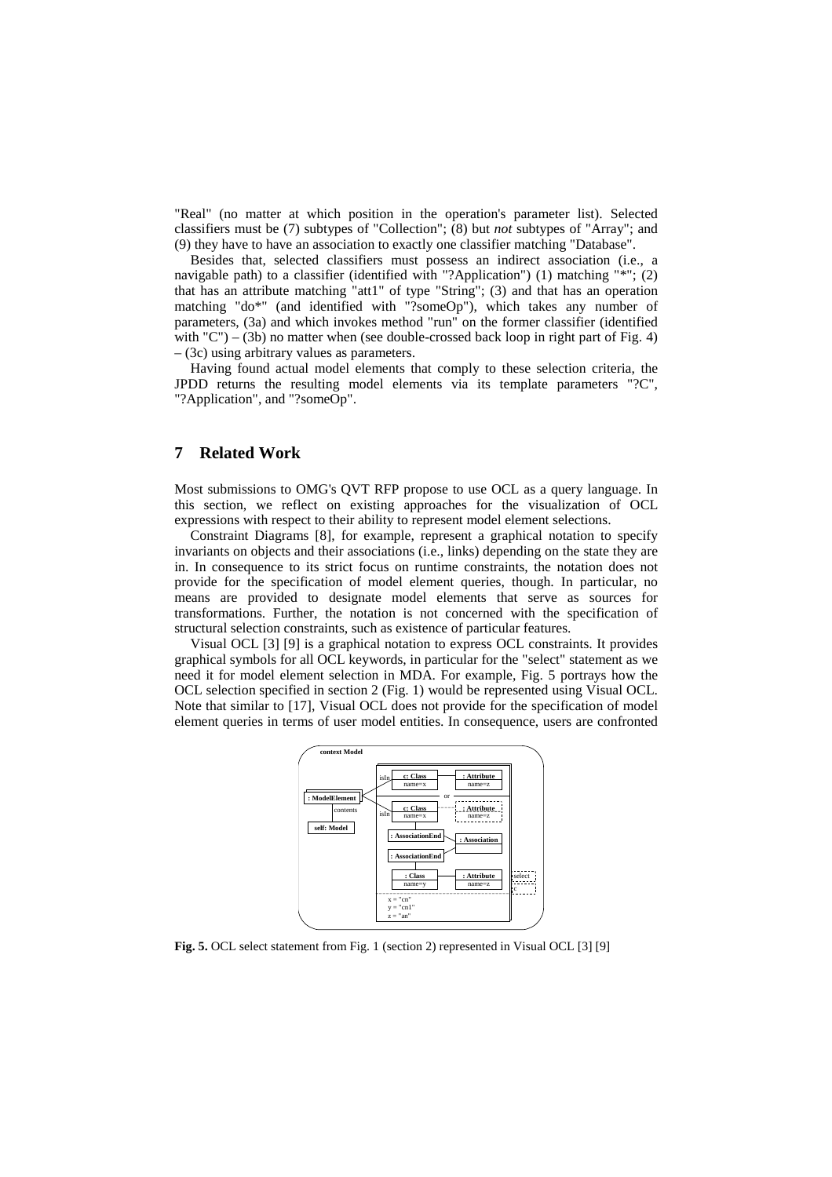"Real" (no matter at which position in the operation's parameter list). Selected classifiers must be (7) subtypes of "Collection"; (8) but *not* subtypes of "Array"; and (9) they have to have an association to exactly one classifier matching "Database".

Besides that, selected classifiers must possess an indirect association (i.e., a navigable path) to a classifier (identified with "?Application") (1) matching "\*"; (2) that has an attribute matching "att1" of type "String"; (3) and that has an operation matching "do\*" (and identified with "?someOp"), which takes any number of parameters, (3a) and which invokes method "run" on the former classifier (identified with  $°C$ ) – (3b) no matter when (see double-crossed back loop in right part of Fig. 4) – (3c) using arbitrary values as parameters.

Having found actual model elements that comply to these selection criteria, the JPDD returns the resulting model elements via its template parameters "?C", "?Application", and "?someOp".

## **7 Related Work**

Most submissions to OMG's QVT RFP propose to use OCL as a query language. In this section, we reflect on existing approaches for the visualization of OCL expressions with respect to their ability to represent model element selections.

Constraint Diagrams [8], for example, represent a graphical notation to specify invariants on objects and their associations (i.e., links) depending on the state they are in. In consequence to its strict focus on runtime constraints, the notation does not provide for the specification of model element queries, though. In particular, no means are provided to designate model elements that serve as sources for transformations. Further, the notation is not concerned with the specification of structural selection constraints, such as existence of particular features.

Visual OCL [3] [9] is a graphical notation to express OCL constraints. It provides graphical symbols for all OCL keywords, in particular for the "select" statement as we need it for model element selection in MDA. For example, Fig. 5 portrays how the OCL selection specified in section 2 (Fig. 1) would be represented using Visual OCL. Note that similar to [17], Visual OCL does not provide for the specification of model element queries in terms of user model entities. In consequence, users are confronted



**Fig. 5.** OCL select statement from Fig. 1 (section 2) represented in Visual OCL [3] [9]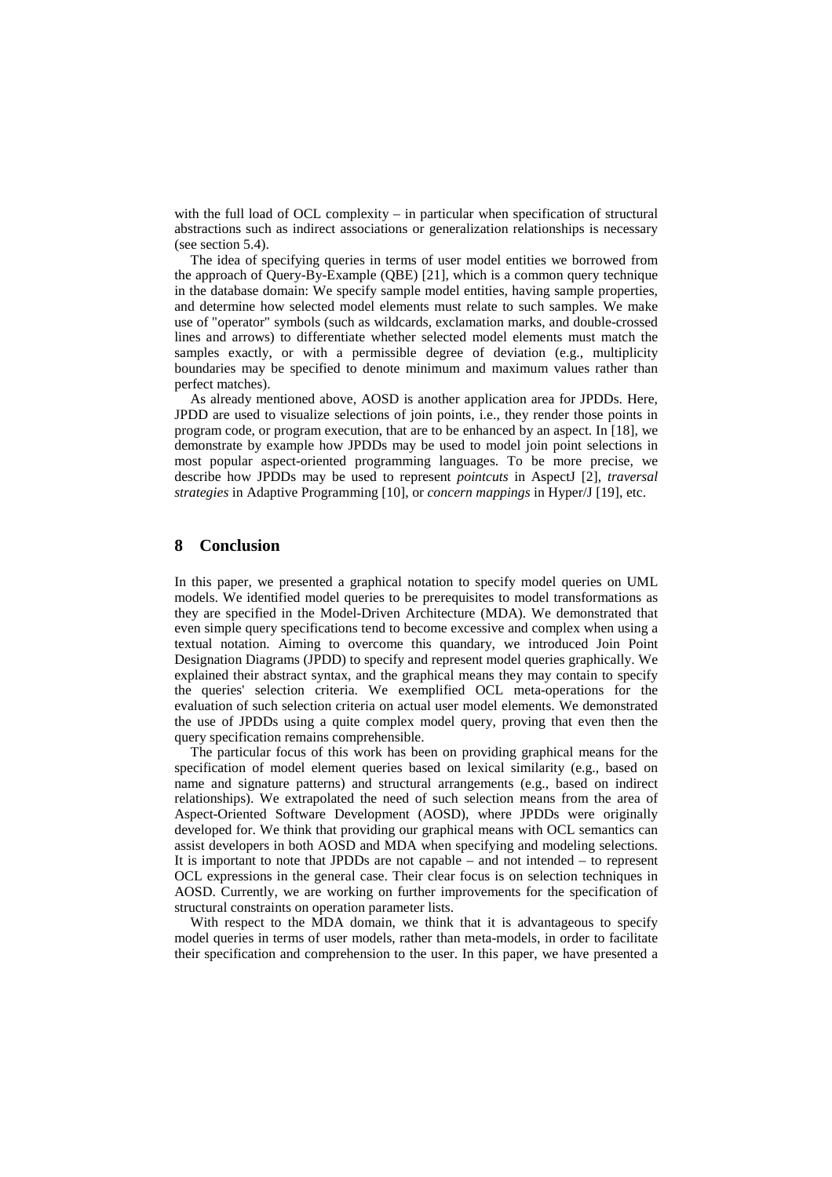with the full load of OCL complexity – in particular when specification of structural abstractions such as indirect associations or generalization relationships is necessary (see section 5.4).

The idea of specifying queries in terms of user model entities we borrowed from the approach of Query-By-Example (QBE) [21], which is a common query technique in the database domain: We specify sample model entities, having sample properties, and determine how selected model elements must relate to such samples. We make use of "operator" symbols (such as wildcards, exclamation marks, and double-crossed lines and arrows) to differentiate whether selected model elements must match the samples exactly, or with a permissible degree of deviation (e.g., multiplicity boundaries may be specified to denote minimum and maximum values rather than perfect matches).

As already mentioned above, AOSD is another application area for JPDDs. Here, JPDD are used to visualize selections of join points, i.e., they render those points in program code, or program execution, that are to be enhanced by an aspect. In [18], we demonstrate by example how JPDDs may be used to model join point selections in most popular aspect-oriented programming languages. To be more precise, we describe how JPDDs may be used to represent *pointcuts* in AspectJ [2], *traversal strategies* in Adaptive Programming [10], or *concern mappings* in Hyper/J [19], etc.

### **8 Conclusion**

In this paper, we presented a graphical notation to specify model queries on UML models. We identified model queries to be prerequisites to model transformations as they are specified in the Model-Driven Architecture (MDA). We demonstrated that even simple query specifications tend to become excessive and complex when using a textual notation. Aiming to overcome this quandary, we introduced Join Point Designation Diagrams (JPDD) to specify and represent model queries graphically. We explained their abstract syntax, and the graphical means they may contain to specify the queries' selection criteria. We exemplified OCL meta-operations for the evaluation of such selection criteria on actual user model elements. We demonstrated the use of JPDDs using a quite complex model query, proving that even then the query specification remains comprehensible.

The particular focus of this work has been on providing graphical means for the specification of model element queries based on lexical similarity (e.g., based on name and signature patterns) and structural arrangements (e.g., based on indirect relationships). We extrapolated the need of such selection means from the area of Aspect-Oriented Software Development (AOSD), where JPDDs were originally developed for. We think that providing our graphical means with OCL semantics can assist developers in both AOSD and MDA when specifying and modeling selections. It is important to note that JPDDs are not capable – and not intended – to represent OCL expressions in the general case. Their clear focus is on selection techniques in AOSD. Currently, we are working on further improvements for the specification of structural constraints on operation parameter lists.

With respect to the MDA domain, we think that it is advantageous to specify model queries in terms of user models, rather than meta-models, in order to facilitate their specification and comprehension to the user. In this paper, we have presented a